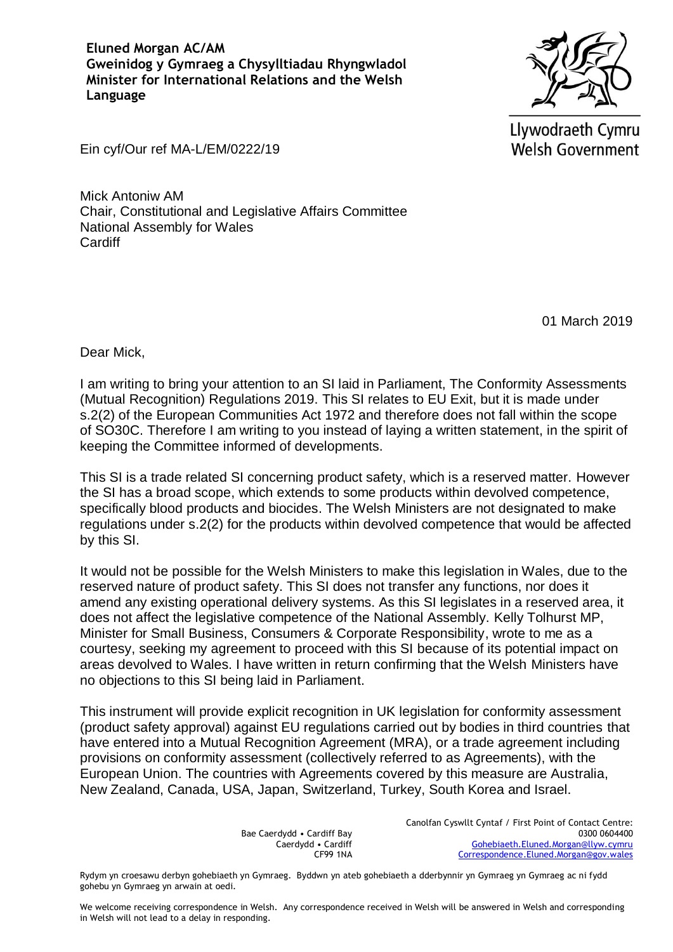**Eluned Morgan AC/AM Gweinidog y Gymraeg a Chysylltiadau Rhyngwladol Minister for International Relations and the Welsh Language**



Llywodraeth Cymru **Welsh Government** 

Ein cyf/Our ref MA-L/EM/0222/19

Mick Antoniw AM Chair, Constitutional and Legislative Affairs Committee National Assembly for Wales **Cardiff** 

01 March 2019

Dear Mick,

I am writing to bring your attention to an SI laid in Parliament, The Conformity Assessments (Mutual Recognition) Regulations 2019. This SI relates to EU Exit, but it is made under s.2(2) of the European Communities Act 1972 and therefore does not fall within the scope of SO30C. Therefore I am writing to you instead of laying a written statement, in the spirit of keeping the Committee informed of developments.

This SI is a trade related SI concerning product safety, which is a reserved matter. However the SI has a broad scope, which extends to some products within devolved competence, specifically blood products and biocides. The Welsh Ministers are not designated to make regulations under s.2(2) for the products within devolved competence that would be affected by this SI.

It would not be possible for the Welsh Ministers to make this legislation in Wales, due to the reserved nature of product safety. This SI does not transfer any functions, nor does it amend any existing operational delivery systems. As this SI legislates in a reserved area, it does not affect the legislative competence of the National Assembly. Kelly Tolhurst MP, Minister for Small Business, Consumers & Corporate Responsibility, wrote to me as a courtesy, seeking my agreement to proceed with this SI because of its potential impact on areas devolved to Wales. I have written in return confirming that the Welsh Ministers have no objections to this SI being laid in Parliament.

This instrument will provide explicit recognition in UK legislation for conformity assessment (product safety approval) against EU regulations carried out by bodies in third countries that have entered into a Mutual Recognition Agreement (MRA), or a trade agreement including provisions on conformity assessment (collectively referred to as Agreements), with the European Union. The countries with Agreements covered by this measure are Australia, New Zealand, Canada, USA, Japan, Switzerland, Turkey, South Korea and Israel.

> Bae Caerdydd • Cardiff Bay Caerdydd • Cardiff CF99 1NA

Canolfan Cyswllt Cyntaf / First Point of Contact Centre: 0300 0604400 [Gohebiaeth.Eluned.Morgan@llyw.cymru](mailto:Gohebiaeth.Eluned.Morgan@llyw.cymru) [Correspondence.Eluned.Morgan@gov.wales](mailto:Correspondence.Eluned.Morgan@gov.wales)

Rydym yn croesawu derbyn gohebiaeth yn Gymraeg. Byddwn yn ateb gohebiaeth a dderbynnir yn Gymraeg yn Gymraeg ac ni fydd gohebu yn Gymraeg yn arwain at oedi.

We welcome receiving correspondence in Welsh. Any correspondence received in Welsh will be answered in Welsh and corresponding in Welsh will not lead to a delay in responding.